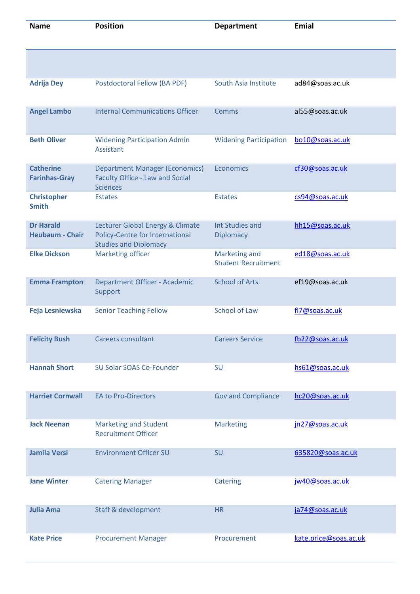| <b>Name</b>                                | <b>Position</b>                                                                                     | <b>Department</b>                                  | <b>Emial</b>          |
|--------------------------------------------|-----------------------------------------------------------------------------------------------------|----------------------------------------------------|-----------------------|
|                                            |                                                                                                     |                                                    |                       |
| <b>Adrija Dey</b>                          | Postdoctoral Fellow (BA PDF)                                                                        | South Asia Institute                               | ad84@soas.ac.uk       |
| <b>Angel Lambo</b>                         | <b>Internal Communications Officer</b>                                                              | <b>Comms</b>                                       | al55@soas.ac.uk       |
| <b>Beth Oliver</b>                         | <b>Widening Participation Admin</b><br>Assistant                                                    | <b>Widening Participation</b>                      | bo10@soas.ac.uk       |
| <b>Catherine</b><br><b>Farinhas-Gray</b>   | <b>Department Manager (Economics)</b><br><b>Faculty Office - Law and Social</b><br><b>Sciences</b>  | <b>Economics</b>                                   | cf30@soas.ac.uk       |
| <b>Christopher</b><br><b>Smith</b>         | <b>Estates</b>                                                                                      | <b>Estates</b>                                     | cs94@soas.ac.uk       |
| <b>Dr Harald</b><br><b>Heubaum - Chair</b> | Lecturer Global Energy & Climate<br>Policy-Centre for International<br><b>Studies and Diplomacy</b> | <b>Int Studies and</b><br><b>Diplomacy</b>         | hh15@soas.ac.uk       |
| <b>Elke Dickson</b>                        | <b>Marketing officer</b>                                                                            | <b>Marketing and</b><br><b>Student Recruitment</b> | ed18@soas.ac.uk       |
| <b>Emma Frampton</b>                       | Department Officer - Academic<br>Support                                                            | <b>School of Arts</b>                              | ef19@soas.ac.uk       |
| Feja Lesniewska                            | <b>Senior Teaching Fellow</b>                                                                       | <b>School of Law</b>                               | fl7@soas.ac.uk        |
| <b>Felicity Bush</b>                       | <b>Careers consultant</b>                                                                           | <b>Careers Service</b>                             | fb22@soas.ac.uk       |
| <b>Hannah Short</b>                        | SU Solar SOAS Co-Founder                                                                            | SU                                                 | hs61@soas.ac.uk       |
| <b>Harriet Cornwall</b>                    | <b>EA to Pro-Directors</b>                                                                          | <b>Gov and Compliance</b>                          | hc20@soas.ac.uk       |
| <b>Jack Neenan</b>                         | <b>Marketing and Student</b><br><b>Recruitment Officer</b>                                          | <b>Marketing</b>                                   | jn27@soas.ac.uk       |
| <b>Jamila Versi</b>                        | <b>Environment Officer SU</b>                                                                       | SU                                                 | 635820@soas.ac.uk     |
| <b>Jane Winter</b>                         | <b>Catering Manager</b>                                                                             | Catering                                           | jw40@soas.ac.uk       |
| <b>Julia Ama</b>                           | <b>Staff &amp; development</b>                                                                      | <b>HR</b>                                          | ja74@soas.ac.uk       |
| <b>Kate Price</b>                          | <b>Procurement Manager</b>                                                                          | Procurement                                        | kate.price@soas.ac.uk |